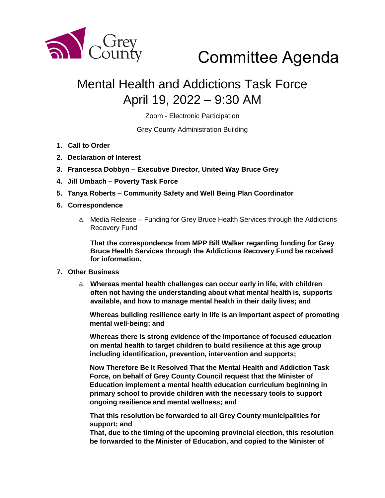

## Committee Agenda

## Mental Health and Addictions Task Force April 19, 2022 – 9:30 AM

Zoom - Electronic Participation

Grey County Administration Building

- **1. Call to Order**
- **2. Declaration of Interest**
- **3. Francesca Dobbyn – Executive Director, United Way Bruce Grey**
- **4. Jill Umbach – Poverty Task Force**
- **5. Tanya Roberts – Community Safety and Well Being Plan Coordinator**
- **6. Correspondence**
	- a. Media Release Funding for Grey Bruce Health Services through the Addictions Recovery Fund

**That the correspondence from MPP Bill Walker regarding funding for Grey Bruce Health Services through the Addictions Recovery Fund be received for information.** 

## **7. Other Business**

a. **Whereas mental health challenges can occur early in life, with children often not having the understanding about what mental health is, supports available, and how to manage mental health in their daily lives; and**

**Whereas building resilience early in life is an important aspect of promoting mental well-being; and**

**Whereas there is strong evidence of the importance of focused education on mental health to target children to build resilience at this age group including identification, prevention, intervention and supports;**

**Now Therefore Be It Resolved That the Mental Health and Addiction Task Force, on behalf of Grey County Council request that the Minister of Education implement a mental health education curriculum beginning in primary school to provide children with the necessary tools to support ongoing resilience and mental wellness; and**

**That this resolution be forwarded to all Grey County municipalities for support; and**

**That, due to the timing of the upcoming provincial election, this resolution be forwarded to the Minister of Education, and copied to the Minister of**